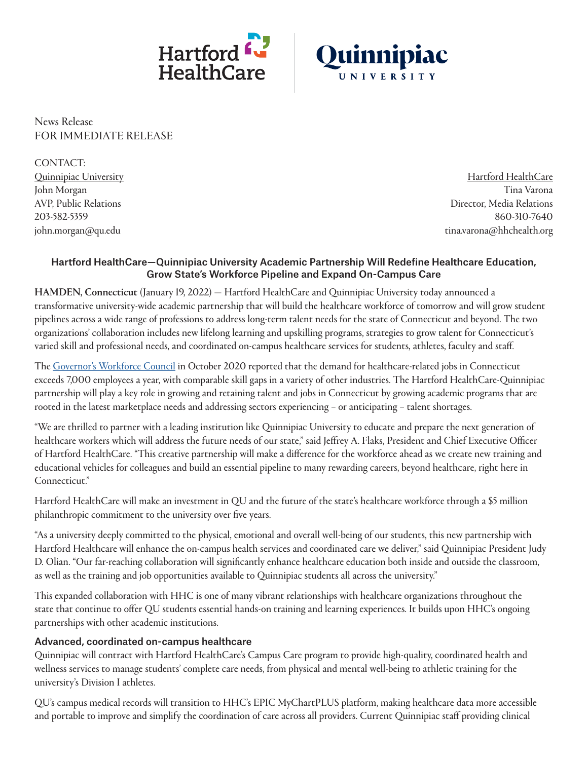



News Release FOR IMMEDIATE RELEASE

CONTACT: Quinnipiac University John Morgan AVP, Public Relations 203-582-5359 [john.morgan@qu.edu](mailto:john.morgan%40qu.edu?subject=)

Hartford HealthCare Tina Varona Director, Media Relations 860-310-7640 [tina.varona@hhchealth.org](mailto:tina.varona%40hhchealth.org?subject=)

#### Hartford HealthCare—Quinnipiac University Academic Partnership Will Redefine Healthcare Education, Grow State's Workforce Pipeline and Expand On-Campus Care

HAMDEN, Connecticut (January 19, 2022) — Hartford HealthCare and Quinnipiac University today announced a transformative university-wide academic partnership that will build the healthcare workforce of tomorrow and will grow student pipelines across a wide range of professions to address long-term talent needs for the state of Connecticut and beyond. The two organizations' collaboration includes new lifelong learning and upskilling programs, strategies to grow talent for Connecticut's varied skill and professional needs, and coordinated on-campus healthcare services for students, athletes, faculty and staff.

The [Governor's Workforce Council](https://portal.ct.gov/-/media/GWC/GWC-Strategic-Plan-FINAL.pdf) in October 2020 reported that the demand for healthcare-related jobs in Connecticut exceeds 7,000 employees a year, with comparable skill gaps in a variety of other industries. The Hartford HealthCare-Quinnipiac partnership will play a key role in growing and retaining talent and jobs in Connecticut by growing academic programs that are rooted in the latest marketplace needs and addressing sectors experiencing - or anticipating - talent shortages.

"We are thrilled to partner with a leading institution like Quinnipiac University to educate and prepare the next generation of healthcare workers which will address the future needs of our state," said Jeffrey A. Flaks, President and Chief Executive Officer of Hartford HealthCare. "This creative partnership will make a difference for the workforce ahead as we create new training and educational vehicles for colleagues and build an essential pipeline to many rewarding careers, beyond healthcare, right here in Connecticut."

Hartford HealthCare will make an investment in QU and the future of the state's healthcare workforce through a \$5 million philanthropic commitment to the university over five years.

"As a university deeply committed to the physical, emotional and overall well-being of our students, this new partnership with Hartford Healthcare will enhance the on-campus health services and coordinated care we deliver," said Quinnipiac President Judy D. Olian. "Our far-reaching collaboration will significantly enhance healthcare education both inside and outside the classroom, as well as the training and job opportunities available to Quinnipiac students all across the university."

This expanded collaboration with HHC is one of many vibrant relationships with healthcare organizations throughout the state that continue to offer QU students essential hands-on training and learning experiences. It builds upon HHC's ongoing partnerships with other academic institutions.

#### Advanced, coordinated on-campus healthcare

Quinnipiac will contract with Hartford HealthCare's Campus Care program to provide high-quality, coordinated health and wellness services to manage students' complete care needs, from physical and mental well-being to athletic training for the university's Division I athletes.

QU's campus medical records will transition to HHC's EPIC MyChartPLUS platform, making healthcare data more accessible and portable to improve and simplify the coordination of care across all providers. Current Quinnipiac staff providing clinical